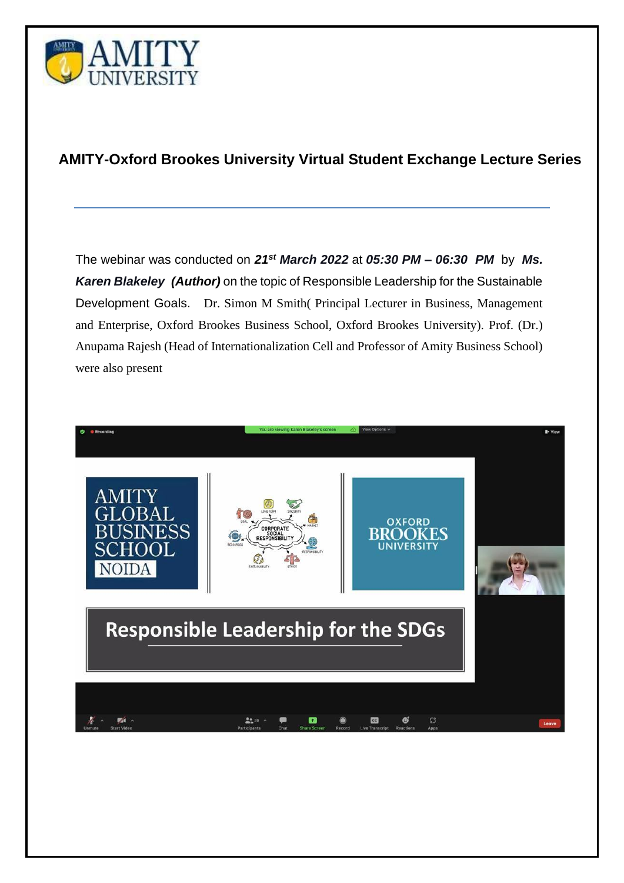

## **AMITY-Oxford Brookes University Virtual Student Exchange Lecture Series**

The webinar was conducted on *21st March 2022* at *05:30 PM – 06:30 PM* by *Ms. Karen Blakeley (Author)* on the topic of Responsible Leadership for the Sustainable Development Goals. Dr. Simon M Smith( Principal Lecturer in Business, Management and Enterprise, Oxford Brookes Business School, Oxford Brookes University). Prof. (Dr.) Anupama Rajesh (Head of Internationalization Cell and Professor of Amity Business School) were also present

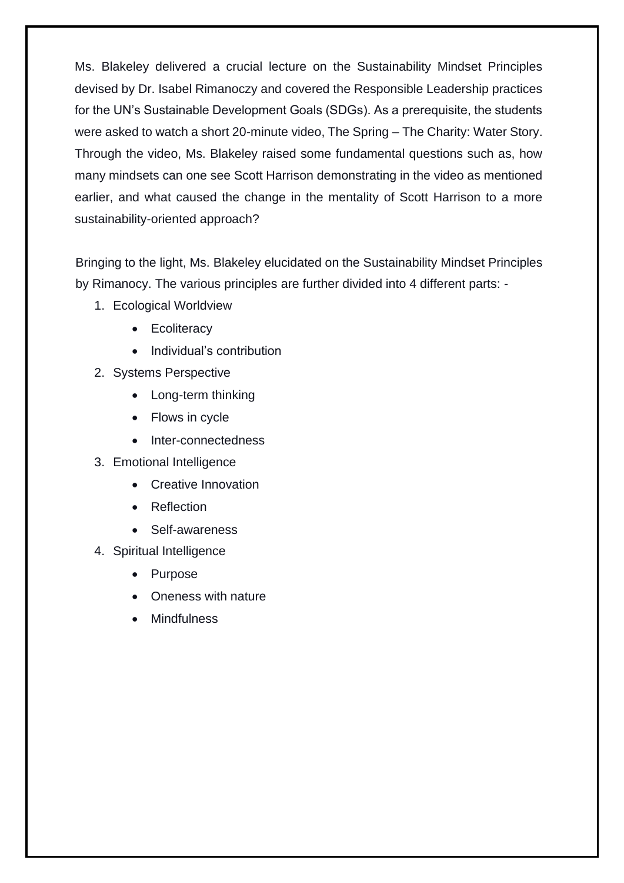Ms. Blakeley delivered a crucial lecture on the Sustainability Mindset Principles devised by Dr. Isabel Rimanoczy and covered the Responsible Leadership practices for the UN's Sustainable Development Goals (SDGs). As a prerequisite, the students were asked to watch a short 20-minute video, The Spring – The Charity: Water Story. Through the video, Ms. Blakeley raised some fundamental questions such as, how many mindsets can one see Scott Harrison demonstrating in the video as mentioned earlier, and what caused the change in the mentality of Scott Harrison to a more sustainability-oriented approach?

Bringing to the light, Ms. Blakeley elucidated on the Sustainability Mindset Principles by Rimanocy. The various principles are further divided into 4 different parts: -

- 1. Ecological Worldview
	- Ecoliteracy
	- Individual's contribution
- 2. Systems Perspective
	- Long-term thinking
	- Flows in cycle
	- Inter-connectedness
- 3. Emotional Intelligence
	- Creative Innovation
	- Reflection
	- Self-awareness
- 4. Spiritual Intelligence
	- Purpose
	- Oneness with nature
	- **Mindfulness**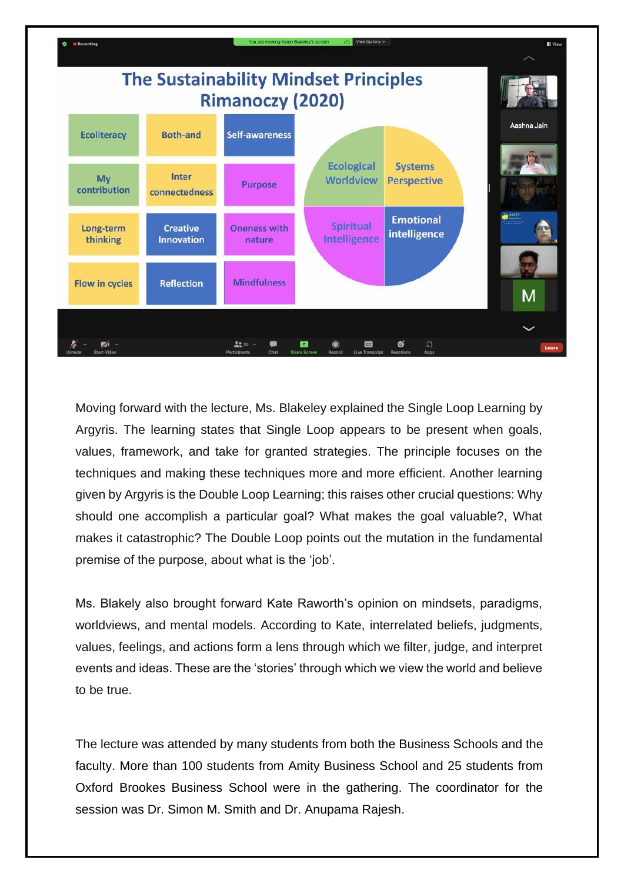

Moving forward with the lecture, Ms. Blakeley explained the Single Loop Learning by Argyris. The learning states that Single Loop appears to be present when goals, values, framework, and take for granted strategies. The principle focuses on the techniques and making these techniques more and more efficient. Another learning given by Argyris is the Double Loop Learning; this raises other crucial questions: Why should one accomplish a particular goal? What makes the goal valuable?, What makes it catastrophic? The Double Loop points out the mutation in the fundamental premise of the purpose, about what is the 'job'.

Ms. Blakely also brought forward Kate Raworth's opinion on mindsets, paradigms, worldviews, and mental models. According to Kate, interrelated beliefs, judgments, values, feelings, and actions form a lens through which we filter, judge, and interpret events and ideas. These are the 'stories' through which we view the world and believe to be true.

The lecture was attended by many students from both the Business Schools and the faculty. More than 100 students from Amity Business School and 25 students from Oxford Brookes Business School were in the gathering. The coordinator for the session was Dr. Simon M. Smith and Dr. Anupama Rajesh.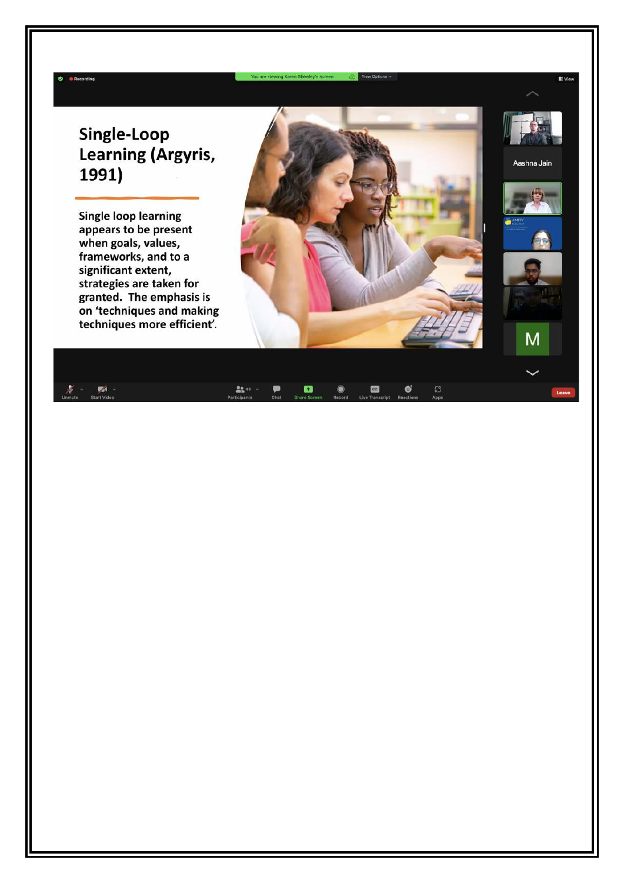## Single-Loop Learning (Argyris, 1991)

**Single loop learning** appears to be present when goals, values, frameworks, and to a significant extent, strategies are taken for granted. The emphasis is on 'techniques and making techniques more efficient'.



Aashna Jain

M

| Unmute | 差。 赋。<br>Start Video | Participants Chat Share Screen Record Live Transcript Reactions |  |  | Apps |
|--------|----------------------|-----------------------------------------------------------------|--|--|------|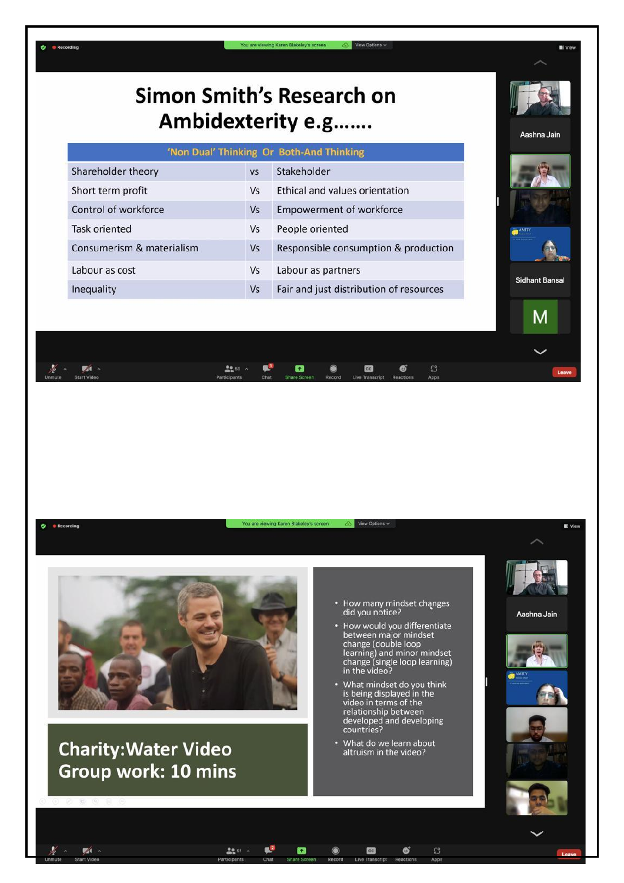

٠ **B** Recording



 $22.51 -$ 

 $\mathbb{R}^2$ 

63

## **Charity: Water Video** Group work: 10 mins

zí

- How many mindset changes<br>did you notice?
- How would you differentiate<br>between major mindset<br>change (double loop<br>learning) and minor mindset<br>change (single loop learning)<br>in the video?
- What mindset do you think<br>is being displayed in the video in terms of the relationship between developed and developing<br>countries?
- What do we learn about<br>altruism in the video?

cc

 $\mathbb{S}^3$ 

Ø



**SI** View